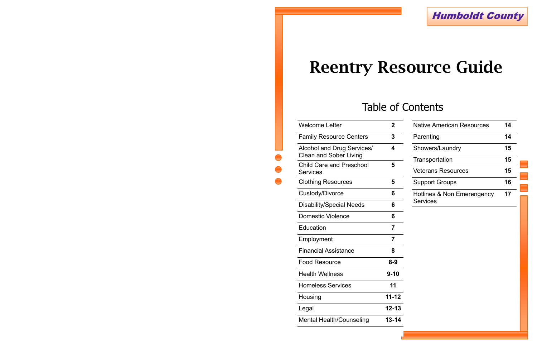

| Welcome Letter                                              | 2              |
|-------------------------------------------------------------|----------------|
| <b>Family Resource Centers</b>                              | 3              |
| Alcohol and Drug Services/<br><b>Clean and Sober Living</b> | 4              |
| <b>Child Care and Preschool</b><br><b>Services</b>          | 5              |
| <b>Clothing Resources</b>                                   | 5              |
| Custody/Divorce                                             | 6              |
| <b>Disability/Special Needs</b>                             | 6              |
| <b>Domestic Violence</b>                                    | 6              |
| Education                                                   | $\overline{7}$ |
| Employment                                                  | $\overline{7}$ |
| <b>Financial Assistance</b>                                 | 8              |
| <b>Food Resource</b>                                        | $8 - 9$        |
| <b>Health Wellness</b>                                      | $9 - 10$       |
| <b>Homeless Services</b>                                    | 11             |
| Housing                                                     | $11 - 12$      |
| Legal                                                       | $12 - 13$      |
| <b>Mental Health/Counseling</b>                             | 13-14          |
|                                                             |                |

| <b>Native American Resources</b>              | 14 |
|-----------------------------------------------|----|
| Parenting                                     | 14 |
| Showers/Laundry                               | 15 |
| Transportation                                | 15 |
| <b>Veterans Resources</b>                     | 15 |
| <b>Support Groups</b>                         | 16 |
| Hotlines & Non Emerengency<br><b>Services</b> | 17 |

## Table of Contents

# **Reentry Resource Guide**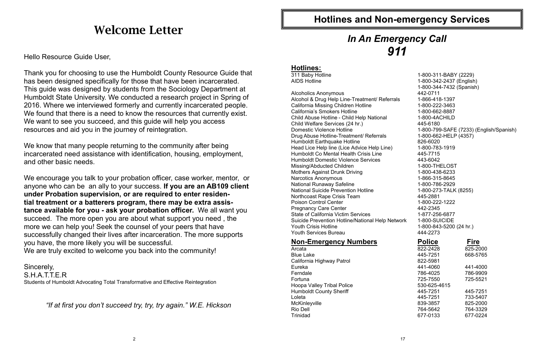## **Welcome Letter**

Hello Resource Guide User,

Thank you for choosing to use the Humboldt County Resource Guide that has been designed specifically for those that have been incarcerated. This guide was designed by students from the Sociology Department at Humboldt State University. We conducted a research project in Spring of 2016. Where we interviewed formerly and currently incarcerated people. We found that there is a need to know the resources that currently exist. We want to see you succeed, and this guide will help you access resources and aid you in the journey of reintegration.

We know that many people returning to the community after being incarcerated need assistance with identification, housing, employment, and other basic needs.

We encourage you talk to your probation officer, case worker, mentor, or anyone who can be an ally to your success. **If you are an AB109 client under Probation supervision, or are required to enter residential treatment or a batterers program, there may be extra assistance available for you - ask your probation officer.** We all want you succeed. The more open you are about what support you need , the more we can help you! Seek the counsel of your peers that have successfully changed their lives after incarceration. The more supports you have, the more likely you will be successful. We are truly excited to welcome you back into the community!

Sincerely, S.H.A.T.T.E.R Students of Humboldt Advocating Total Transformative and Effective Reintegration

*"If at first you don't succeed try, try, try again." W.E. Hickson*

### **Hotlines:**

311 Baby Hotline 1-800-311-BABY (2229) AIDS Hotline 1-800-342-2437 (English) 1-800-344-7432 (Spanish) Alcoholics Anonymous<br>Alcohol & Drug Help Line-Treatment/ Referrals 1-866-418-1397 Alcohol & Drug Help Line-Treatment/ Referrals California Missing Children Hotline 1-800-222-3463 California's Smokers Hotline 1-800-662-8887 Child Abuse Hotline - Child Help National 1-800-4ACHILD Child Welfare Services (24 hr.) 445-6180 Domestic Violence Hotline 1-800-799-SAFE (7233) (English/Spanish) Drug Abuse Hotline-Treatment/ Referrals 1-800-662-HELP (4357) Humboldt Earthquake Hotline 826-6020 Head Lice Help line (Lice Advice Help Line) 1-800-783-1919 Humboldt Co Mental Health Crisis Line 445-7715 Humboldt Domestic Violence Services 443-6042 Missing/Abducted Children 1-800-THELOST Mothers Against Drunk Driving 1-800-438-6233 Narcotics Anonymous 1-866-315-8645 National Runaway Safeline 1-800-786-2929 National Suicide Prevention Hotline 1-800-273-TALK (8255) Northcoast Rape Crisis Team 445-2881 Poison Control Center 1-800-222-1222<br>Pregnancy Care Center 1-800-222-1222 Pregnancy Care Center State of California Victim Services 1-877-256-6877 Suicide Prevention Hotline/National Help Network 1-800-SUICIDE Youth Crisis Hotline 1-800-843-5200 (24 hr.) Youth Services Bureau **444-2273 Non-Emergency Numbers Police Fire** Arcata 822-2428 822-2428 825-2000 Blue Lake 445-7251 668-5765 California Highway Patrol 822-5981 Eureka 441-4060 441-4000 Ferndale 786-4025 786-9909 Fortuna 725-7550 725-5521 Hoopa Valley Tribal Police 530-625-4615 Humboldt County Sheriff 445-7251 445-7251 Loleta 445-7251 733-5407 McKinleyville 839-3857 825-2000 Rio Dell<sup>2</sup> 764-5642 764-3329 Trinidad 677-0133 677-0224

## **Hotlines and Non-emergency Services**

## *In An Emergency Call 911*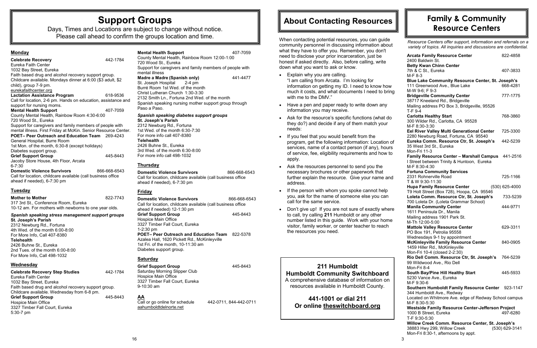

## **Support Groups**

Days, Times and Locations are subject to change without notice. Please call ahead to confirm the groups location and time.

### **Monday**

| <b>Celebrate Recovery</b>                                      | 442-1784     |
|----------------------------------------------------------------|--------------|
| Eureka Faith Center                                            |              |
| 1032 Bay Street, Eureka                                        |              |
| Faith based drug and alcohol recovery support group.           |              |
| Childcare available. Mondays dinner at 6:00 (\$3 adult, \$2    |              |
| child), group 7-9 pm.                                          |              |
| eurekafaithcenter.org                                          |              |
| <b>Lactation Assistance Program</b>                            | 618-9536     |
| Call for location, 2-6 pm. Hands on education, assistance and  |              |
| support for nursing moms.                                      |              |
| <b>Mental Health Support</b>                                   | 407-7059     |
| County Mental Health, Rainbow Room 4:30-6:00                   |              |
| 720 Wood St., Eureka                                           |              |
| Support for caregivers and family members of people with       |              |
| mental illness. First Friday at McKin. Senior Resource Center. |              |
| <b>POET-Peer Outreach and Education Team</b> 269-4243          |              |
| General Hospital, Burre Room                                   |              |
| 1st Mon. of the month, 6:30-8 (except holidays)                |              |
| Diabetes support group.                                        |              |
| <b>Grief Support Group</b>                                     | 445-8443     |
| Jacoby Store House, 4th Floor, Arcata                          |              |
| $6 - 7:30$                                                     |              |
| <b>Domestic Violence Survivors</b>                             | 866-668-6543 |
| Call for location, childcare available (call business office   |              |
| ahead if needed), 6-7:30 pm                                    |              |
|                                                                |              |

### **Tuesday**

| <b>Mother to Mother</b>                               | 822-7743 |
|-------------------------------------------------------|----------|
| 317 3rd St., Conference Room, Eureka                  |          |
| 10-12 am. For mothers with newborns to one year olds. |          |

### *Spanish speaking stress management support groups* **St. Joseph's Parish**

**Domestic Violence Survivors** 866-668-6543 Call for location, childcare available (call business office ahead if needed), 6-7:30 pm

2312 Newburg Rd., Fortuna 4th Wed. of the month 6:00-8:00 For More Info, Call 407-8380 **Telehealth**  2426 Buhne St., Eureka 2nd Tues. of the month 6:00-8:00 For More Info, Call 498-1032

**Domestic Violence Survivors** 866-668-6543 Call for location, childcare available (call business office ahead if needed) 12-1:30 pm **Grief Support Group** 445-8443 Hospice Main Office 3327 Timber Fall Court, Eureka 1-2:30 pm **POET– Peer Outreach and Education Team** 822-5378 Azalea Hall, 1620 Pickett Rd., McKinleyville 1st Fri. of the month, 10-11:30 am Diabetes support group.

### **Wednesday**

**Grief Support Group** 445-8443 Saturday Morning Slipper Club Hospice Main Office 3327 Timber Fall Court, Eureka 9-10:30 am

| <b>Celebrate Recovery Step Studies</b>               | 442-1784 |
|------------------------------------------------------|----------|
| Eureka Faith Center                                  |          |
| 1032 Bay Street, Eureka                              |          |
| Faith based drug and alcohol recovery support group. |          |
| Childcare available. Wednesday from 6-8 pm.          |          |
| <b>Grief Support Group</b>                           | 445-8443 |
| Hospice Main Office                                  |          |
| 3327 Timber Fall Court, Eureka                       |          |
| $5:30-7$ pm                                          |          |

| <b>Mental Health Support</b><br>County Mental Health, Rainbow Room 12:00-1:00<br>720 Wood St., Eureka | 407-7059 |  |  |
|-------------------------------------------------------------------------------------------------------|----------|--|--|
| Support for caregivers and family members of people with                                              |          |  |  |
| mental illness                                                                                        |          |  |  |
| Madre a Madre (Spanish only)                                                                          | 441-4477 |  |  |
| St. Joseph Hospital 2-4 pm<br>Burré Room 1st Wed, of the month<br>Christ Lutheran Church 1:30-3:30    |          |  |  |
| 2132 Smith Ln., Fortuna 2nd Wed. of the month                                                         |          |  |  |
| Spanish speaking nursing mother support group through<br>Paso a Paso.                                 |          |  |  |
| Spanish speaking diabetes support groups<br><b>St. Joseph's Parish</b><br>2312 Newburg Rd Fortuna     |          |  |  |

2312 Newburg Rd., Fortuna 1st Wed. of the month 6:30-7:30 For more info call 407-8380 **Telehealth**  2426 Buhne St., Eureka 3rd Wed. of the month 6:30-8:00 For more info call 498-1032

- Explain why you are calling. "I am calling from Arcata. I'm looking for information on getting my ID. I need to know how much it costs, and what documents I need to bring with me to the DMV."
- Have a pen and paper ready to write down any information you may receive.
- Ask for the resource's specific functions (what do they do?) and decide if any of them match your needs:
- If you feel that you would benefit from the program, get the following information: Location of services, name of a contact person (if any), hours of service, fee, eligibility requirements and how to apply.
- Ask the resources personnel to send you the necessary brochures or other paperwork that further explain the resource. Give your name and address.
- If the person with whom you spoke cannot help you, ask for the name of someone else you can call for the same service.
- Don't give up! If you are not sure of exactly where to call, try calling **211** Humboldt or any other number listed in this guide. Work with your home visitor, family worker, or center teacher to reach the resources you need.

### **Thursday**

### **Friday**

### **Saturday**

**AA**

Call or go online for schedule 442-0711, 844-442-0711 aahumboldtdelnorte.net

### **211 Humboldt Humboldt Community Switchboard**

A comprehensive database of information on resources available in Humboldt County.

**441-1001 or dial 211 Or online theswitchboard.org**

When contacting potential resources, you can guide community personnel in discussing information about what they have to offer you. Remember, you don't need to disclose your prior incarceration, just be honest if asked directly. Also, before calling, write down what you want to ask or know.

## **About Contacting Resources**

*Resource Centers offer support, information and referrals on a variety of topics. All inquiries and discussions are confidential.* 

| <b>Arcata Family Resource Center</b>                     | 822-4858         |
|----------------------------------------------------------|------------------|
| 2400 Baldwin St.                                         |                  |
| <b>Betty Kwan Chinn Center</b>                           |                  |
| 7th & C St., Eureka                                      | 407-3833         |
| M-F 8-3                                                  |                  |
| <b>Blue Lake Community Resource Center, St. Joseph's</b> |                  |
| 111 Greenwood Ave., Blue Lake                            | 668-4281         |
| M-W 9-6; F 9-3                                           |                  |
| <b>Bridgeville Community Center</b>                      | 777-1775         |
| 38717 Kneeland Rd., Bridgeville                          |                  |
| Mailing address PO Box 3, Bridgeville, 95526             |                  |
| T-F 9-4                                                  |                  |
| <b>Carlotta Healthy Start</b>                            | 768-3860         |
| 300 Wilder Rd., Carlotta, CA 95528                       |                  |
| M-F 8:30-3:30                                            |                  |
|                                                          | 725-3300         |
| Eel River Valley Multi Generational Center               |                  |
| 2280 Newburg Road, Fortuna, CA 95540                     |                  |
| Eureka Comm. Resource Ctr, St. Joseph's                  | 442-5239         |
| 35 West 3rd St., Eureka                                  |                  |
| Mon-Fri 11-3                                             |                  |
| <b>Family Resource Center - Marshall Campus</b>          | 441-2516         |
| I Street between Trinity & Huntoon, Eureka               |                  |
| M-F 8:30-4:30                                            |                  |
| <b>Fortuna Community Services</b>                        |                  |
| 2331 Rohnerville Road                                    | 725-1166         |
| T & W 9:30-11:30                                         |                  |
| <b>Hupa Family Resource Center</b>                       | $(530)$ 625-4000 |
| T9 Holt Street (Box 728), Hoopa, CA 95546                |                  |
| Loleta Comm. Resource Ctr, St. Joseph's                  | 733-5239         |
| 700 Loleta Dr. (Loleta Grammar School)                   |                  |
| <b>Manila Community Center</b>                           | 444-9771         |
| 1611 Peninsula Dr., Manila                               |                  |
|                                                          |                  |
| Mailing address 1901 Park St.                            |                  |
| M-Th 12:00-5:00                                          |                  |
| <b>Mattole Valley Resource Center</b>                    | 629-3311         |
| PO Box 191, Petrolia 95558                               |                  |
| Wednesdays 9-1 by appointment                            |                  |
| <b>McKinleyville Family Resource Center</b>              | 840-0905         |
| 1459 Hiller Rd., McKinleyville                           |                  |
| Mon-Fri 10-4 (closed 2-2:30)                             |                  |
| Rio Dell Comm. Resource Ctr, St. Joseph's 764-5239       |                  |
| 99 Wildwood Ave., Rio Dell                               |                  |
| Mon-Fri 8-4                                              |                  |
| South Bay/Pine Hill Healthy Start                        | 445-5933         |
| 5230 Vance Ave., Eureka                                  |                  |
| M-F 9:30-6                                               |                  |
| Southern Humboldt Family Resource Center 923-1147        |                  |
| 344 Humboldt Ave., Redway                                |                  |
|                                                          |                  |
| Located on Whitmore Ave. edge of Redway School campus    |                  |
| M-F 8:30-5:30                                            |                  |
| <b>Westside Family Resource Center-Jefferson Project</b> |                  |
| 1000 B Street, Eureka                                    | 497-6280         |
| T-F 9:30-5:30                                            |                  |
| Willow Creek Comm. Resource Center, St. Joseph's         |                  |
| 38883 Hwy 299, Willow Creek                              | (530) 629-3141   |
| Mon-Fri 8:30-1, afternoons by appt.                      |                  |

## **Family & Community Resource Centers**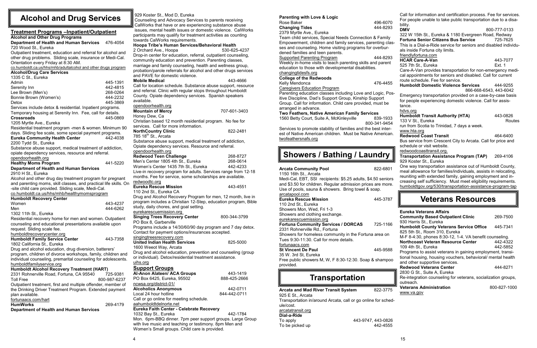### 929 Koster St., Mod D, Eureka

Counseling and Advocacy Services to parents receiving CalWorks that have or are experiencing substance abuse issues, mental health issues or domestic violence. CalWorks participants may qualify for treatment activities as counting towards CalWorks requirements.

#### **Hoopa Tribe's Human Services/Behavioral Health**  2 Orchard Ave., Hoopa530-625-4237 Drop-in center for education, referral, outpatient counseling,

#### opendoorhealth.org **Mountain of Mercy** 707-601-3403 Honey Dew, Ca Christian based 12 month residential program. No fee for services. Call for more information. **NorthCountry Clinic** 822-2481

community education and prevention. Parenting classes, marriage and family counseling, health and wellness group, probation/parole referrals for alcohol and other drugs services and PAVE for domestic violence.

 $785$  18<sup>th</sup> St., Arcata Substance abuse support, medical treatment of addiction,

**Mobile Medical** 443-4666 Call for location schedule. Substance abuse support, resource

### **Redwood Teen Challenge** 268-8727 Men's Center 1805 4th St., Eureka 268-0614<br>Women's Center 1435 7th St., Eureka 442-4233 Women's Center 1435 7th St., Eureka Live-in recovery program for adults. Services range from 12-18 months. Fee for service, some scholarships are available.

and referral. Clinic with regular stops throughout Humboldt County. Opiate dependency services. Spanish speakers available.

**Singing Trees Recovery Center** 800-344-3799 PO Box 8, Garberville Programs include a 14/30/60/90 day program and 7 day detox. Contact for payment options/insurances accepted.

singingtreesrecovery.com **United Indian Health Services** 825-5000

Opiate dependency services. Resource and referral. opendoorhealth.org

### co.humboldt.ca.us/hhs/mhb/adultalcohol and other drugs program **Alcohol/Drug Care Services** 1335 C St., Eureka Admin 445-1391 Serenity Inn Lee Brown (Men's) 268-0264 Bonnie Brown (Women's) 444-2232 Detox 445-3869 Services include detox & residential. Inpatient programs. Temporary housing at Serenity Inn. Fee, call for details. **Crossroads** 445-0869 1205 Myrtle Ave., Eureka Residential treatment program -men & women. Minimum 90 days. Sliding fee scale, some special payment programs. **Eureka Community Health Center** 442-4038 2200 Tydd St., Eureka Substance abuse support, medical treatment of addiction, opiate dependency services, resource and referral. opendoorhealth.org **Healthy Moms Program** 441-5220 **Department of Health and Human Services** 2910 H St., Eureka Alcohol and other drug day treatment program for pregnant and parenting moms, skill classes, and practical life skills. On -site child care provided. Sliding scale, Medi-Cal. co.humboldt.ca.us/hhs/mhb/healthymomsprogram **Humboldt Recovery Center** Women 443-4237 Men 444-6262 1302 11th St., Eureka Residential recovery home for men and women. Outpatient counseling and educational presentations available upon request. Sliding scale fee. humboldtrecoverycenter.org **Humboldt Family Service Center** 443-7358 1802 California St., Eureka Drug and alcohol education, drug diversion, batterers' program, children of divorce workshops, family, children and individual counseling, premarital counseling for adolescents. humboldtfamilyservice.org **Humboldt Alcohol Recovery Treatment (HART)**  2331 Rohnerville Road, Fortuna, CA 95540 725-9381 Toll Free 800-987-6237

redwoodtc.org

**Eureka Rescue Mission** 443-4551 110 2nd St., Eureka CA Drug and Alcohol Recovery Program for men, 12 month, live in program includes a Christian 12-Step, education program, Bible study, daily chores, and goal setting. eurekarescuemission.org

1600 Weeot Way, Arcata Drug and alcohol education, prevention and counseling (group or individual). Detox/residential treatment assistance.

#### uihs.org **Support Groups**

| SUPPOIL GIOUPS                                           |              |
|----------------------------------------------------------|--------------|
| Al-Anon Alateen/ ACA Groups                              | 443-1419     |
| PO Box 6425, Eureka, 95502                               | 888-425-2666 |
| ncwsa.org/district-01/                                   |              |
| <b>Alcoholics Anonymous</b>                              | 442-0711     |
| Local 24 hour hotline                                    | 844-442-0711 |
| Call or go online for meeting schedule.                  |              |
| aahumboldtdelnorte.net                                   |              |
| <b>Eureka Faith Center - Celebrate Recovery</b>          |              |
| 1032 Bay St., Eureka                                     | 442-1784     |
| Mon. 6pm-BBQ dinner. 7pm peer support groups. Large Grou |              |
| with live music and teaching or testimony. Ram Mon and   |              |

Mon. 6pm-BBQ dinner. 7pm peer support groups. Large Group with live music and teaching or testimony. 8pm Men and Women's Small groups. Child care is provided.

### **Treatment Programs –Inpatient/Outpatient**

### **Alcohol and Other Drug Programs**

**Department of Health and Human Services** 476-4054 720 Wood St., Eureka

Outpatient treatment, education and referral for alcohol and other drug problems. Sliding scale, insurance or Medi-Cal. Orientation every Friday at 8:30 AM.

| <b>Arcata and Mad River Transit System</b>                    | 822-3775           |
|---------------------------------------------------------------|--------------------|
| 925 E St., Arcata                                             |                    |
| Transportation in/around Arcata, call or go online for sched- |                    |
| ule/cost.                                                     |                    |
| arcatatransit.org                                             |                    |
| Dial-a-Ride                                                   |                    |
| To apply                                                      | 443-9747, 443-0826 |
| To be picked up                                               | 442-4555           |

Outpatient treatment, first and multiple offender, member of the Drinking Driver Treatment Program. Extended payment plan available.

### fortunaacs.com/hart

**HumWorks** 269-4179 **Department of Health and Human Services**

### **Alcohol and Drug Services**

| enting with Love & Logic                                                                                              |              | Call for information and certification process. Fee for services. |              |
|-----------------------------------------------------------------------------------------------------------------------|--------------|-------------------------------------------------------------------|--------------|
| se Baker                                                                                                              | 496-6070     | For people unable to take public transportation due to a disa-    |              |
| anging Tides                                                                                                          | 444-8293     | bility.<br><b>DMV</b>                                             | 800-777-0133 |
| '9 Myrtle Ave., Eureka                                                                                                |              | 322 W 15th St., Eureka & 1180 Evergreen Road, Redway              |              |
| am child services, Special Needs Connection & Family                                                                  |              | <b>Fortuna Senior Citizens Bus Service</b>                        | 725-7625     |
| powerment, children and family services, parenting clas-                                                              |              | This is a Dial-a-Ride service for seniors and disabled individu-  |              |
| and counseling. Home visiting programs for overbur-                                                                   |              | als inside Fortuna city limits.                                   |              |
| ed families and teen parents.                                                                                         |              | friendlyfortuna.com                                               |              |
| oported Parenting Program                                                                                             | 444-8293     | <b>HCAR Care-A-Van</b>                                            | 443-7077     |
| ekly in-home visits to teach parenting skills and parent                                                              |              | 525 7th St., Eureka                                               | Ext. 1       |
| ication to those with developmental disabilities.                                                                     |              | Care-A-Van provides transportation for non-emergency medi-        |              |
| ngingtidesfs.org                                                                                                      |              | cal appointments for seniors and disabled. Call for current       |              |
| llege of the Redwoods                                                                                                 |              | route schedule. Fee for service.                                  |              |
| ly Mendonca                                                                                                           | 476-4455     | <b>Humboldt Domestic Violence Services</b>                        | 444-9255     |
| egivers Education Program                                                                                             |              | 866-668-6543, 443-6042                                            |              |
| enting education classes including Love and Logic, Pos-                                                               |              | Emergency transportation provided on a case-by-case basis         |              |
| <b>Discipline, Dad's Support Group, Kinship Support</b><br>oup. Call for information. Child care provided, must be    |              | for people experiencing domestic violence. Call for assis-        |              |
| anged in advance.                                                                                                     |              | tance.                                                            |              |
| o Feathers, Native American Family Services                                                                           |              | hdvs.org                                                          |              |
| 60 Betty Court, Suite A, McKinleyville                                                                                | 839-1933     | <b>Humboldt Transit Authority (HTA)</b>                           | 443-0826     |
|                                                                                                                       | 800-341-9454 | 133 V St., Eureka                                                 | Routes       |
| vices to promote stability of families and the best inter-                                                            |              | run from Scotia to Trinidad, 7 days a week.                       |              |
| of Native American children. Must be Native American.                                                                 |              | www.hta.org                                                       |              |
| feathersnafs.org                                                                                                      |              | <b>Redwood Coast Transit</b>                                      | 464-6400     |
|                                                                                                                       |              | Bus service from Crescent City to Arcata. Call for price and      |              |
|                                                                                                                       |              | schedule or visit website.                                        |              |
| Showers / Bathing / Laundry ∥                                                                                         |              | redwoodcoasttransit.org.                                          |              |
|                                                                                                                       |              | <b>Transportation Assistance Program (TAP)</b>                    | 269-4106     |
|                                                                                                                       |              | 929 Koster St., Eureka                                            |              |
|                                                                                                                       |              |                                                                   |              |
| ata Community Pool:                                                                                                   | 822-6801     | One way transportation assistance out of Humboldt County,         |              |
| 60 16th St., Arcata                                                                                                   |              | meal allowance for families/individuals, assists in relocating,   |              |
|                                                                                                                       |              | reuniting with extended family, gaining employment and in-        |              |
| di-Cal, EBT, SSI recipients: \$5.25 adults, \$4.50 seniors<br>\$3.50 for children. Regular admission prices are more. |              | creasing self sufficiency. Must meet eligibility requirements.    |              |
| e of pools, sauna & showers. Bring towel & soap.                                                                      |              | humboldtgov.org/530/transportation-assistance-program-tap         |              |
| atapool.com                                                                                                           |              |                                                                   |              |
| eka Rescue Mission                                                                                                    | 445-3787     | <b>Veterans Resources</b>                                         |              |
|                                                                                                                       |              |                                                                   |              |
| 2nd St., Eureka<br>owers Mon, Wed, Fri 1-3                                                                            |              | <b>Eureka Veterans Affairs</b>                                    |              |
|                                                                                                                       |              | <b>Community Based Outpatient Clinic</b>                          | 269-7500     |
|                                                                                                                       |              | 930 Harris St., Eureka                                            |              |
| owers and clothing exchange.<br>ekarescuemission.org<br>tuna Community Services / DORCAS                              | 725-1166     | <b>Humboldt County Veterans Service Office</b>                    | 445-7341     |
| 31 Rohnerville Rd., Fortuna                                                                                           |              | 825 5th St., Room 310, Eureka                                     |              |
| owers for homeless community in the Fortuna area on                                                                   |              | M-F 8-4:30, phones 8:30-12, 1-4. VA benefit counseling.           |              |
|                                                                                                                       |              | <b>Northcoast Veteran Resource Center</b>                         | 442-4322     |
|                                                                                                                       |              | 109 4th St., Eureka                                               | 442-5852     |
| es 9:30-11:30. Call for more details.<br>unaacs.com<br>Vincent De Paul                                                | 445-9588     | Programs to assist veterans in gaining employment, transi-        |              |
| W. 3rd St, Eureka                                                                                                     |              | tional housing, housing vouchers, behavioral/ mental health       |              |
| e public showers M, W, F 8:30-12:30. Soap & shampoo<br>vided.                                                         |              | and other supportive services.                                    |              |
|                                                                                                                       |              | <b>Redwood Veterans Center</b>                                    | 444-8271     |
|                                                                                                                       |              | 2830 G St., Suite A, Eureka                                       |              |
| <b>Transportation</b>                                                                                                 |              | Re-integration counseling for veterans, socialization groups,     |              |
|                                                                                                                       |              | outreach.                                                         |              |
| ata and Mad River Transit System:                                                                                     | 822-3775     | <b>Veterans Administration</b>                                    | 800-827-1000 |
| i E St., Arcata<br>nsportation in/around Arcata, call or go online for sched-                                         |              | www.va.gov                                                        |              |

|                                                                     |              | Call for information and certification process. Fee for services. |              |
|---------------------------------------------------------------------|--------------|-------------------------------------------------------------------|--------------|
| <b>Parenting with Love &amp; Logic</b><br>Rose Baker                | 496-6070     | For people unable to take public transportation due to a disa-    |              |
| <b>Changing Tides</b>                                               | 444-8293     | bility.                                                           |              |
| 2379 Myrtle Ave., Eureka                                            |              | <b>DMV</b>                                                        | 800-777-0133 |
| Team child services, Special Needs Connection & Family              |              | 322 W 15th St., Eureka & 1180 Evergreen Road, Redway              |              |
| Empowerment, children and family services, parenting clas-          |              | <b>Fortuna Senior Citizens Bus Service</b>                        | 725-7625     |
| ses and counseling. Home visiting programs for overbur-             |              | This is a Dial-a-Ride service for seniors and disabled individu-  |              |
| dened families and teen parents.                                    |              | als inside Fortuna city limits.                                   |              |
| <b>Supported Parenting Program</b>                                  | 444-8293     | friendlyfortuna.com                                               |              |
| Weekly in-home visits to teach parenting skills and parent          |              | <b>HCAR Care-A-Van</b>                                            | 443-7077     |
| education to those with developmental disabilities.                 |              | 525 7th St., Eureka                                               | Ext. 1       |
|                                                                     |              | Care-A-Van provides transportation for non-emergency medi-        |              |
| changingtidesfs.org                                                 |              | cal appointments for seniors and disabled. Call for current       |              |
| <b>College of the Redwoods</b>                                      |              | route schedule. Fee for service.                                  |              |
| Kelly Mendonca                                                      | 476-4455     | <b>Humboldt Domestic Violence Services</b>                        | 444-9255     |
| <b>Caregivers Education Program</b>                                 |              | 866-668-6543, 443-6042                                            |              |
| Parenting education classes including Love and Logic, Pos-          |              | Emergency transportation provided on a case-by-case basis         |              |
| itive Discipline, Dad's Support Group, Kinship Support              |              | for people experiencing domestic violence. Call for assis-        |              |
| Group. Call for information. Child care provided, must be           |              | tance.                                                            |              |
| arranged in advance.                                                |              | hdvs.org                                                          |              |
| Two Feathers, Native American Family Services                       |              | <b>Humboldt Transit Authority (HTA)</b>                           | 443-0826     |
| 1560 Betty Court, Suite A, McKinleyville                            | 839-1933     | 133 V St., Eureka                                                 | Routes       |
|                                                                     | 800-341-9454 | run from Scotia to Trinidad, 7 days a week.                       |              |
| Services to promote stability of families and the best inter-       |              | www.hta.org                                                       |              |
| est of Native American children. Must be Native American.           |              | <b>Redwood Coast Transit</b>                                      | 464-6400     |
| twofeathersnafs.org                                                 |              | Bus service from Crescent City to Arcata. Call for price and      |              |
|                                                                     |              | schedule or visit website.                                        |              |
|                                                                     |              | redwoodcoasttransit.org.                                          |              |
| <b>Showers / Bathing / Laundry</b>                                  |              | <b>Transportation Assistance Program (TAP)</b>                    | 269-4106     |
|                                                                     |              | 929 Koster St., Eureka                                            |              |
|                                                                     |              |                                                                   |              |
|                                                                     |              |                                                                   |              |
| <b>Arcata Community Pool</b>                                        | 822-6801     | One way transportation assistance out of Humboldt County,         |              |
| 1150 16th St., Arcata                                               |              | meal allowance for families/individuals, assists in relocating,   |              |
| Medi-Cal, EBT, SSI recipients: \$5.25 adults, \$4.50 seniors        |              | reuniting with extended family, gaining employment and in-        |              |
| and \$3.50 for children. Regular admission prices are more.         |              | creasing self sufficiency. Must meet eligibility requirements.    |              |
| Use of pools, sauna & showers. Bring towel & soap.                  |              | humboldtgov.org/530/transportation-assistance-program-tap         |              |
| arcatapool.com                                                      |              |                                                                   |              |
| <b>Eureka Rescue Mission</b>                                        | 445-3787     | <b>Veterans Resources</b>                                         |              |
| 110 2nd St., Eureka                                                 |              |                                                                   |              |
| Showers Mon, Wed, Fri 1-3                                           |              |                                                                   |              |
| Showers and clothing exchange.                                      |              | Eureka Veterans Affairs                                           |              |
| eurekarescuemission.org                                             |              | <b>Community Based Outpatient Clinic</b>                          | 269-7500     |
| <b>Fortuna Community Services / DORCAS</b>                          | 725-1166     | 930 Harris St., Eureka                                            |              |
| 2331 Rohnerville Rd., Fortuna                                       |              | <b>Humboldt County Veterans Service Office</b>                    | 445-7341     |
| Showers for homeless community in the Fortuna area on               |              | 825 5th St., Room 310, Eureka                                     |              |
| Tues 9:30-11:30. Call for more details.                             |              | M-F 8-4:30, phones 8:30-12, 1-4. VA benefit counseling.           |              |
| fortunaacs.com                                                      |              | <b>Northcoast Veteran Resource Center</b>                         | 442-4322     |
| <b>St Vincent De Paul</b>                                           | 445-9588     | 109 4th St., Eureka                                               | 442-5852     |
| 35 W. 3rd St, Eureka                                                |              | Programs to assist veterans in gaining employment, transi-        |              |
|                                                                     |              | tional housing, housing vouchers, behavioral/ mental health       |              |
| Free public showers M, W, F 8:30-12:30. Soap & shampoo<br>provided. |              | and other supportive services.                                    |              |
|                                                                     |              | <b>Redwood Veterans Center</b>                                    | 444-8271     |
|                                                                     |              | 2830 G St., Suite A, Eureka                                       |              |
| <b>Transportation</b>                                               |              | Re-integration counseling for veterans, socialization groups,     |              |
|                                                                     |              | outreach.                                                         |              |
|                                                                     |              | <b>Veterans Administration</b>                                    | 800-827-1000 |
| <b>Arcata and Mad River Transit System</b><br>925 E St., Arcata     | 822-3775     | www.va.gov                                                        |              |

## **Showers / Bathing / Laundry**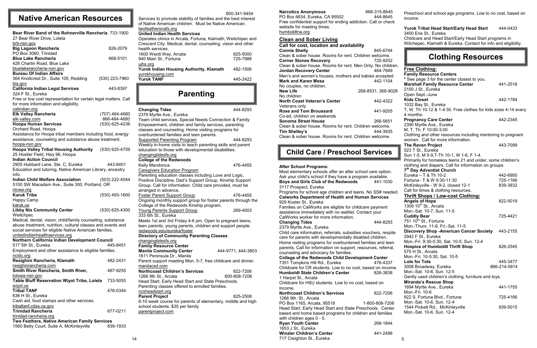#### 800-341-9454

Services to promote stability of families and the best interest of Native American children. Must be Native American. twofeathersnafs.org

### **United Indian Health Services**

| Operates clinics in Arcata, Fortuna, Kalmath, Weitchipec and<br>Crescent City. Medical, dental, counseling, vision and other |          |  |
|------------------------------------------------------------------------------------------------------------------------------|----------|--|
| health services.                                                                                                             |          |  |
| 1600 Weott Way, Arcata                                                                                                       | 825-5000 |  |
| 940 Main St., Fortuna                                                                                                        | 725-7988 |  |
| uihs.org                                                                                                                     |          |  |
| Yurok Indian Housing Authority, Klamath                                                                                      | 482-1506 |  |
| yurokhousing.com                                                                                                             |          |  |
| <b>Yurok TANF</b>                                                                                                            | 445-2422 |  |

| <b>Changing Tides</b>                                        | 444-8293           |
|--------------------------------------------------------------|--------------------|
| 2379 Myrtle Ave., Eureka                                     |                    |
| Team child services, Special Needs Connection & Family       |                    |
| Empowerment, children and family services, parenting         |                    |
| classes and counseling. Home visiting programs for           |                    |
| overburdened families and teen parents.                      |                    |
| <b>Supported Parenting Program</b>                           | 444-8293           |
| Weekly in-home visits to teach parenting skills and parent   |                    |
| education to those with developmental disabilities.          |                    |
| changingtidesfs.org                                          |                    |
| <b>College of the Redwoods</b>                               |                    |
| Kelly Mendonca                                               | 476-4455           |
| <b>Caregivers Education Program</b>                          |                    |
| Parenting education classes including Love and Logic,        |                    |
| Positive Discipline, Dad's Support Group, Kinship Support    |                    |
| Group. Call for information. Child care provided, must be    |                    |
| arranged in advance.                                         |                    |
| <b>Foster Parent Support Group</b>                           | 476-4455           |
| Ongoing monthly support group for foster parents through the |                    |
| College of the Redwoods Kinship program.                     |                    |
| Young Parents Support Group                                  | 269-4003           |
| 333 6th St., Eureka                                          |                    |
| Meets 1st and 3rd Friday 4-6 pm. Open to pregnant teens,     |                    |
| teen parents, young parents, children and support people.    |                    |
| redwoods.edu/eureka/foster                                   |                    |
| <b>Directory of Community Parenting Classes</b>              |                    |
| changingtidesfs.org                                          |                    |
| <b>Family Resource Center</b>                                |                    |
| <b>Manila Community Center</b>                               | 444-9771, 444-3803 |
| 1611 Peninsula Dr., Manila                                   |                    |
| Parent support meeting Mon. 5-7, free childcare and dinner.  |                    |
| manilacsd.com                                                |                    |
| <b>Northcoast Children's Services</b>                        | 822-7206           |
| 1266 9th St., Arcata                                         | 800-808-7206       |
| Head Start, Early Head Start and State Preschools.           |                    |
| Parenting classes offered to enrolled families.              |                    |
| ncsheadstart.org                                             |                    |
| <b>Parent Project</b>                                        | 825-2508           |
| 6-10 week course for parents of elementary, middle and high  |                    |
| school students. \$35 per family                             |                    |
| parentproject.com                                            |                    |
|                                                              |                    |

### **Narcotics Anonymous** 866-315-8645

| Bear River Band of the Rohnerville Rancheria 733-1900<br>27 Bear River Drive, Loleta                                                                                                 |                  |  |  |
|--------------------------------------------------------------------------------------------------------------------------------------------------------------------------------------|------------------|--|--|
| brb-nsn.gov<br><b>Big Lagoon Rancheria</b>                                                                                                                                           | 826-2079         |  |  |
| PO Box 3060, Trinidad                                                                                                                                                                |                  |  |  |
| <b>Blue Lake Rancheria</b>                                                                                                                                                           | 668-5101         |  |  |
| 428 Chartin Road, Blue Lake                                                                                                                                                          |                  |  |  |
| bluelakerancheria-nsn.gov<br><b>Bureau Of Indian Affairs</b>                                                                                                                         |                  |  |  |
| 364 Knollcrest Dr., Suite 105, Redding                                                                                                                                               | (530) 223-7960   |  |  |
| bia.gov<br><b>California Indian Legal Services</b>                                                                                                                                   | 443-8397         |  |  |
| 324 F St., Eureka                                                                                                                                                                    |                  |  |  |
| Free or low cost representation for certain legal matters. Call<br>for more information and eligibility.                                                                             |                  |  |  |
| calindian.org                                                                                                                                                                        |                  |  |  |
| <b>Elk Valley Rancheria</b>                                                                                                                                                          | (707) 464-4680   |  |  |
| elk-valley.com                                                                                                                                                                       | 866-464-4680     |  |  |
| <b>Hoopa Human Services</b>                                                                                                                                                          | (530) 625-4236   |  |  |
| Orchard Road, Hoopa                                                                                                                                                                  |                  |  |  |
| Assistance for Hoopa tribal members including food, energy                                                                                                                           |                  |  |  |
| assistance, counseling and substance abuse treatment.                                                                                                                                |                  |  |  |
| hoopa-nsn.gov                                                                                                                                                                        |                  |  |  |
| <b>Hoopa Valley Tribal Housing Authority</b>                                                                                                                                         | $(530)$ 625-4759 |  |  |
| 25 Hostler Field, Hwy 96, Hoopa                                                                                                                                                      |                  |  |  |
| <b>Indian Action Council</b>                                                                                                                                                         |                  |  |  |
| 2905 Hubbard Lane, Ste. C, Eureka                                                                                                                                                    | 443-8401         |  |  |
| Education and tutoring, Native American Library, ancestry                                                                                                                            |                  |  |  |
| info.                                                                                                                                                                                |                  |  |  |
| <b>Indian Child Welfare Association</b><br>5100 SW Macadam Ave., Suite 300, Portland, OR                                                                                             | (503) 222-4044   |  |  |
| nicwa.org                                                                                                                                                                            |                  |  |  |
| <b>Karuk Tribe</b>                                                                                                                                                                   | $(530)$ 493-1600 |  |  |
| Happy Camp                                                                                                                                                                           |                  |  |  |
| karuk.us                                                                                                                                                                             |                  |  |  |
| <b>Libby Nix Community Center</b>                                                                                                                                                    | (530) 625-4300   |  |  |
| Weitchpec                                                                                                                                                                            |                  |  |  |
| Medical, dental, vision, child/family counseling, substance<br>abuse treatment, nutrition, cultural classes and events and<br>social services for eligible Native American families. |                  |  |  |
| unitedindianhealthservices.org                                                                                                                                                       |                  |  |  |
| Northern California Indian Development Council                                                                                                                                       |                  |  |  |
| 517 5th St., Eureka                                                                                                                                                                  | 445-8451         |  |  |
| Employment and other assistance to eligible families.                                                                                                                                |                  |  |  |
| ncidc.org                                                                                                                                                                            |                  |  |  |
| Resighini Rancheria, Klamath                                                                                                                                                         | 482-2431         |  |  |
| resighinrancheria.com                                                                                                                                                                |                  |  |  |
| Smith River Rancheria, Smith River,                                                                                                                                                  | 487-9255         |  |  |
| tolowa-nsn.gov                                                                                                                                                                       |                  |  |  |
| <b>Table Bluff Reservation Wiyot Tribe, Loleta</b>                                                                                                                                   | 733-5055         |  |  |
| wiyot.us<br><b>Tribal TANF</b>                                                                                                                                                       | 476-0344         |  |  |
| 636 H St., Eureka                                                                                                                                                                    |                  |  |  |
| Cash aid, food stamps and other services.                                                                                                                                            |                  |  |  |
| tribaltanf.cdss.ca.gov                                                                                                                                                               |                  |  |  |
| <b>Trinidad Rancheria</b>                                                                                                                                                            | 677-0211         |  |  |
| trinidad-rancheria.org                                                                                                                                                               |                  |  |  |
| Two Feathers, Native American Family Services                                                                                                                                        |                  |  |  |
| 1560 Betty Court, Suite A, McKinleyville                                                                                                                                             | 839-1933         |  |  |

### Yurok Tribal Head Start/Early Head Start 444-0433 3400 Erie St., Eureka Childcare and Head Start/Early Head Start programs in

### **Native American Resources**

## **Parenting**

PO Box 6634, Eureka, CA 95502 444-8645 Free confidential support for ending addiction. Call or check website for meeting times. humboldtna.org

| <b>Clean and Sober Living</b>                              |                    |
|------------------------------------------------------------|--------------------|
| Call for cost, location and availability                   |                    |
| <b>Connie Shelly</b>                                       | 845-6744           |
| Clean & sober house. Rooms for rent. Children welcome.     |                    |
| <b>Corner Stones Recovery</b>                              | 725-9252           |
| Clean & sober house. Rooms for rent. Men Only. No children |                    |
| <b>Jordan Recovery Center</b>                              | 464-7849           |
| Men's and women's houses, mothers and babies accepted.     |                    |
| <b>Mark and Karen Mesa</b>                                 | 442-1104           |
| No couples, no children.                                   |                    |
| <b>New Life</b>                                            | 268-8531, 368-9028 |
| No children                                                |                    |
| North Coast Veteran's Center                               | 442-4322           |
| Veterans only                                              |                    |
| <b>Rose and Tom Broussard</b>                              | 441-9205           |
| Co-ed, children on weekends                                |                    |
| Sonoma Street House                                        | 268-5651           |
| Clean & sober house. Rooms for rent. Children welcome.     |                    |
| . 81. . II                                                 | ,,,,,,,,           |

5 . **Discovery Shop -American Cancer Society** 443-2155 Clean & sober house. Rooms for rent. Men Only. No children. **Tim Shelley's** 444-3935 Clean & sober house. Rooms for rent. Children welcome. **After School Programs:**  Most elementary schools offer an after school care option. Ask your child's school if they have a program available. **Boys and Girls Club of the Redwoods** 441-1030 3117 Prospect, Eureka Programs for school age children and teens. No SS# needed. **Calworks Department of Health and Human Services** 929 Koster St., Eureka Families on CalWorks are eligible for childcare payment assistance immediately with no waitlist. Contact your CalWorks worker for more information. **Changing Tides** 444-8293 2379 Myrtle Ave., Eureka Child care information, referrals, subsidies vouchers, respite care for parents with developmentally disabled children. Home visiting programs for overburdened families and teen parents. Call for information on support, resources, referral, counseling and advocacy for families. **College of the Redwoods Child Development Center** 7351 Tompkins Hill Rd., Eureka 476-4337 Childcare for CR students. Low to no cost, based on income. **Humboldt State Children's Center** 826-3838 1 Harpst St., Arcata Childcare for HSU students. Low to no cost, based on income. **Northcoast Children's Services** 822-7206 1266 9th St., Arcata PO Box 1165, Arcata, 95518 1-800-808-7206 Head Start, Early Head Start and State Preschools. Center based and home based programs for children and families with children ages 0 - 5. **Ryan Youth Center** 268-1844 1653 J St., Eureka Winzler Children's Center **441-2498** 717 Creighton St., Eureka **Free Clothing: Family Resource Centers \*** See page 3 for the center closest to you. **Marshall Family Resource Center** 441-2516 2100 J St., Eureka Open Sept.-June **Kids Closet** 442-1784 1032 Bay St., Eureka T, W, Th 10-12 & 1-4:30. Free clothes for kids sizes 4-14 every 4 months. **Pregnancy Care Center** 442-2345 2390 Myrtle Ave., Eureka M, T, Th, F 10:00-3:00 Clothing and other resources including mentoring to pregnant women. Call for more information. **The Raven Project** 443-7099 523 T St., Eureka Sun 1-5, M 5-9,T-Th 10-1, W 1-6, F 1-4. Primarily for homeless teens 21 and under, some children's clothing and diapers. Call for information on groups. **7 th Day Adventist Church** Eureka – T & Th 10-2 442-6950 Fortuna - T & W 9:30-11:30 725-1166 McKinleyville - W 9-2, closed 12-1 839-3832 Call for times & clothing resources. **Thrift Shops / Low-cost Clothing: Angels of Hope** 822-5019  $1309 10^{th}$  St., Arcata Mon.-Sat. 10-7, Sun. 11-5 **Cuddly Bear** 725-4421 751  $10^{th}$  St., Fortuna Mon.-Thurs. 11-6, Fri.-Sat. 11-5 2942 F St., Eureka Mon.-Fri. 9:30-5:30, Sat. 10-5, Sun. 12-4 **Hospice of Humboldt Thrift Shop** 826-2545 575 H St., Arcata Mon.-Fri. 10-5:30, Sat. 10-5 **Lots for Tots** 445-3477 3008 Broadway, Eureka 866-214-5814 Mon.-Sat. 10-6, Sun. 12-5 Gently used children's clothing, furniture and toys. **Miranda's Rescue Shop** 1694 Myrtle Ave., Eureka 1694 441-1755 Mon.-Fri. 10-6 822 S. Fortuna Blvd., Fortuna 725-4166 Mon.-Sat. 10-6, Sun. 12-4 1544 Pickett Rd., McKinleyville 839-5015 Mon.-Sat. 10-6, Sun. 12-4 **Child Care / Preschool Services**

Preschool and school age programs. Low to no cost, based on income.

Witchepec, Klamath & Eureka. Contact for info and eligibility.

### **Clothing Resources**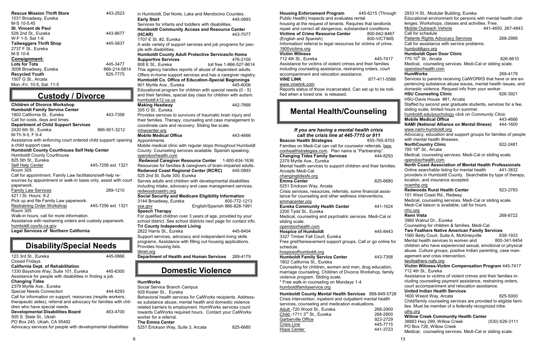| in Humboldt, Del Norte, Lake and Mendocino Counties.              |                              |
|-------------------------------------------------------------------|------------------------------|
| <b>Early Start</b>                                                | 445-0893                     |
| Services for infants and toddlers with disabilities.              |                              |
| <b>Humboldt Community Access and Resource Center</b>              |                              |
| (HCAR)                                                            | 443-7077                     |
| 1707 E St. #2, Eureka                                             |                              |
| A wide variety of support services and job programs for peo-      |                              |
| ple with disabilities.                                            |                              |
| <b>Humboldt County Adult Protective Services/In Home</b>          |                              |
| <b>Supportive Services</b>                                        | 476-2100                     |
| 808 E St., Eureka                                                 | toll free 1-866-527-8614     |
| This agency handles reports of abuse of dependent adults.         |                              |
| Offers in-home support services and has a caregiver registry.     |                              |
| Humboldt Co. Office of Education-Special Beginnings               |                              |
| 901 Myrtle Ave., Eureka                                           | 445-6006                     |
| Educational program for children with special needs (0 - 5)       |                              |
| and their families, special day class for children with autism.   |                              |
|                                                                   |                              |
| humboldt.k12.ca.us                                                |                              |
| <b>Making Headway</b>                                             | 442-7668                     |
| 305 O St., Eureka                                                 |                              |
| Provides services to survivors of traumatic brain injury and      |                              |
| their families. Therapy, counseling and case management to        |                              |
| coordinate care and recovery. Sliding fee scale.                  |                              |
| mhwcenter.org                                                     |                              |
| <b>Mobile Medical Office</b>                                      | 443-4666                     |
| Appointments                                                      |                              |
| Mobile medical clinic with regular stops throughout Humboldt      |                              |
|                                                                   |                              |
| County. Counseling services available. Spanish speaking.          |                              |
| opendoorhealth.com                                                |                              |
| Redwood Caregiver Resource Center 1-800-834-1636                  |                              |
|                                                                   |                              |
| Resources for families & caregivers of brain-impaired adults.     | 445-0893                     |
| <b>Redwood Coast Regional Center (RCRC)</b>                       |                              |
| 525 2nd St. Suite 300, Eureka                                     |                              |
| Serves adults and children with developmental disabilities        |                              |
| including intake, advocacy and case management services.          |                              |
| redwoodcoastrc.org                                                |                              |
| Social Security and Medicare Eligibility Information              |                              |
| 3144 Broadway, Eureka                                             | 800-772-1213                 |
| ssa.gov                                                           | English/Spanish 866-828-1991 |
| <b>Speech Therapy</b>                                             |                              |
| For qualified children over 3 years of age, provided by your      |                              |
| school district. See school districts next page for contact info. |                              |
| <b>Tri County Independent Living</b>                              |                              |
| 2822 Harris St., Eureka                                           | 445-8404                     |
| Support services, advocacy and independent-living skills          |                              |
| programs. Assistance with filling out housing applications.       |                              |
| Provides housing lists.                                           |                              |
| tilinet.org                                                       |                              |
| <b>Department of Health and Human Services</b>                    | 269-4179                     |
|                                                                   |                              |

### **HumWorks**

Social Service Branch Campus 929 Koster St., Eureka

Behavioral health services for CalWorks recipients. Addresses substance abuse, mental health and domestic violence related barriers to employment. HumWorks services count towards CalWorks required hours. Contact your CalWorks worker for a referral. **The Emma Center**

5251 Erickson Way, Suite 3, Arcata 825-6680

| <b>Rescue Mission Thrift Store</b><br>1031 Broadway, Eureka | 443-2523     |
|-------------------------------------------------------------|--------------|
| M-S 10-5:45                                                 |              |
| <b>St. Vincent de Paul</b>                                  |              |
| 528 2nd St., Eureka                                         | 443-8677     |
| W-F 1-5, Sat 1-6                                            |              |
| <b>Tailwaggers Thrift Shop</b>                              | 445-5837     |
| 2737 F St., Eureka                                          |              |
| M-S 10-6                                                    |              |
| <b>Consignment:</b>                                         |              |
| <b>Lots for Tots</b>                                        | 445-3477     |
| 3008 Broadway, Eureka                                       | 866-214-5814 |
| <b>Recycled Youth</b>                                       | 825-7775     |
| 1507 G St., Arcata                                          |              |
| Mon.-Fri. 10-5, Sat. 11-5                                   |              |

| <b>Children of Divorce Workshop</b>                             |                    |  |  |  |
|-----------------------------------------------------------------|--------------------|--|--|--|
| <b>Humboldt Family Service Center</b>                           |                    |  |  |  |
| 1802 California St., Eureka                                     | 443-7358           |  |  |  |
| Call for costs, days and times.                                 |                    |  |  |  |
| <b>Department of Child Support Services</b>                     |                    |  |  |  |
| 2420 6th St., Eureka                                            | 866-901-3212       |  |  |  |
| M-Th 9-5, F 9-4                                                 |                    |  |  |  |
| Assistance with enforcing court ordered child support/ opening  |                    |  |  |  |
| a child support case.                                           |                    |  |  |  |
| <b>Humboldt County Courthouse Self Help Center</b>              |                    |  |  |  |
| <b>Humboldt County Courthouse</b>                               |                    |  |  |  |
| 825 5th St., Eureka                                             |                    |  |  |  |
| <b>Self Help Center</b>                                         | 445-7256 ext. 1321 |  |  |  |
| Room 305                                                        |                    |  |  |  |
| Call for appointment. Family Law facilitators/self-help re-     |                    |  |  |  |
| sources by appointment or walk-in basis only, assist with court |                    |  |  |  |
| paperwork.                                                      |                    |  |  |  |
| <b>Family Law Services</b>                                      | 269-1210           |  |  |  |
| 421   St, Hours: 9-2                                            |                    |  |  |  |
| Pick up and file Family Law paperwork.                          |                    |  |  |  |
| <b>Restraining Order Workshop</b>                               | 445-7256 ext. 1321 |  |  |  |
| Room 305                                                        |                    |  |  |  |
| Walk-in hours, call for more information.                       |                    |  |  |  |
| Assistance with restraining orders and custody paperwork.       |                    |  |  |  |
| humboldt.courts.ca.gov                                          |                    |  |  |  |
| <b>Legal Services of Northern California</b>                    |                    |  |  |  |

| 123 3rd St., Eureka                                               | 445-0866 |
|-------------------------------------------------------------------|----------|
| <b>Closed Fridays</b>                                             |          |
| <b>California Dept. of Rehabilitation</b>                         |          |
| 1330 Bayshore Way, Suite 101, Eureka                              | 445-6300 |
| Assistance for people with disabilities in finding a job.         |          |
| <b>Changing Tides</b>                                             |          |
| 2379 Myrtle Ave., Eureka                                          |          |
| <b>Special Needs Connection</b>                                   | 444-8293 |
| Call for information on support, resources (respite workers,      |          |
| therapeutic aides), referral and advocacy for families with chil- |          |
| dren who have special needs.                                      |          |
| <b>Developmental Disabilities Board</b>                           | 463-4700 |
| 505 S. State St., Ukiah                                           |          |
| PO Box 245, Ukiah, CA 95482                                       |          |
| Advocacy services for people with developmental disabilities      |          |

## **Custody / Divorce**

## **Disability/Special Needs**

### **Domestic Violence**

IF

L

| <b>Housing Enforcement Program</b><br>Public Health) Inspects and evaluates rental | 445-6215 (Through    | 2933 H St., Modular Building, Eureka<br>Educational environment for persons with mental health chal- |                    |
|------------------------------------------------------------------------------------|----------------------|------------------------------------------------------------------------------------------------------|--------------------|
| housing at the request of tenants. Requires that landlords                         |                      | lenges. Workshops, classes and activities. Free.                                                     |                    |
| repair and correct all dangerous, substandard conditions.                          |                      | <b>Mobile Outreach Vehicle</b>                                                                       | 441-4650, 267-4843 |
| <b>Victims of Crime Resource Center</b>                                            | 800-842-8467         | Call for schedule                                                                                    |                    |
| (English and Spanish)                                                              | 800-VICTIMS          | <b>Patients Rights Advocacy Services</b>                                                             | 268-2995           |
| Information/ referral to legal resources for victims of crime.                     |                      | Call for assistance with service problems.                                                           |                    |
| 1800 victims.org                                                                   |                      | humboldtgov.org                                                                                      |                    |
| <b>Victim Witness</b>                                                              |                      | <b>Humboldt Open Door Clinic</b>                                                                     |                    |
| 712 4th St., Eureka                                                                | 445-7417             | 770 10 <sup>th</sup> St., Arcata                                                                     | 826-8610           |
| Assistance for victims of violent crimes and their families                        |                      | Medical, counseling services. Medi-Cal or sliding scale.                                             |                    |
| including counseling assistance, restraining orders, court                         |                      | opendoorhealth.com                                                                                   |                    |
| accompaniment and relocation assistance.                                           |                      | <b>HumWorks</b>                                                                                      | 269-4179           |
| <b>VINE LINK</b>                                                                   | 877-411-5588         | Services to parents receiving CalWORKS that have or are ex-                                          |                    |
| <u>www.vinelink.com</u>                                                            |                      | periencing substance abuse issues, mental health issues, and                                         |                    |
| Reports status of those incarcerated. Can set up to be noti-                       |                      | domestic violence. Request info from your worker.                                                    |                    |
| fied when a loved one is released.                                                 |                      | <b>HSU Counseling Clinic</b>                                                                         | 826-3921           |
|                                                                                    |                      | HSU-Davis House #81, Arcata                                                                          |                    |
|                                                                                    |                      | Staffed by second year graduate students, services for a fee,                                        |                    |
| <b>Mental Health/Counseling</b>                                                    |                      | sliding scale, limited hours in summer.                                                              |                    |
|                                                                                    |                      | humboldt.edu/psychology click on Community Clinic                                                    |                    |
|                                                                                    |                      | <b>Mobile Medical Office</b>                                                                         | 443-4666           |
|                                                                                    |                      | <b>NAMI (National Alliance on Mental Illness)</b>                                                    | 444-1600           |
| If you are having a mental health crisis                                           |                      | www.nami-humboldt.org                                                                                |                    |
| call the crisis line at 445-7715 or 911                                            |                      | Advocacy, education and support groups for families of people                                        |                    |
| <b>Beacon Health Strategies</b>                                                    | 855-765-9703         | with mental health illnesses.                                                                        |                    |
| Families on Medi-Cal can call for counselor referrals. bea-                        |                      | <b>NorthCountry Clinic</b>                                                                           | 822-2481           |
| conhealthstrategies.com. Plan name is "Partnership".                               |                      | 785 18 <sup>th</sup> St., Arcata                                                                     |                    |
| <b>Changing Tides Family Services</b>                                              | 444-8293             | Medical, counseling services. Medi-Cal or sliding scale.                                             |                    |
| 2379 Myrtle Ave., Eureka                                                           |                      | opendoorhealth.com<br><b>North Coast Association of Mental Health Professionals</b>                  |                    |
| Mental health services to support children and their families.                     |                      | Online searchable listing for mental health                                                          | 441-3832           |
| Accepts Medi-Cal.                                                                  |                      | providers in Humboldt County. Searchable by type of therapy,                                         |                    |
| changingtidesfs.org                                                                |                      | location, and insurance accepted.                                                                    |                    |
| <b>Emma Center</b>                                                                 | 825-6680             | ncamhp.org                                                                                           |                    |
| 5251 Erickson Way, Arcata                                                          |                      | <b>Redwoods Rural Health Center</b>                                                                  | 923-2783           |
| Crisis services, resources, referrals, some financial assis-                       |                      | 101 West Coast Rd., Redway                                                                           |                    |
| tance for counseling and other wellness interventions.                             |                      | Medical, counseling services. Medi-Cal or sliding scale.                                             |                    |
| emmacenter.org                                                                     |                      | Medi-Cal liaison is available, call for hours.                                                       |                    |
| <b>Eureka Community Health Center</b>                                              | 441-1624             | rrhc.org                                                                                             |                    |
| 2200 Tydd St., Eureka                                                              |                      | <b>Remi Vista</b>                                                                                    | 268-8722           |
| Medical, counseling and psychiatric services. Medi-Cal or                          |                      | 3960 Walnut Dr., Eureka                                                                              |                    |
| sliding scale.                                                                     |                      | Counseling for children & families. Medi-Cal.                                                        |                    |
| opendoorhealth.com                                                                 | 445-8443             | <b>Two Feathers Native American Family Services</b>                                                  |                    |
| <b>Hospice of Humboldt</b><br>3327 Timber Fall Court, Eureka                       |                      | 1560 Betty Court, Suite A, McKinleyville                                                             | 839-1933           |
| Free grief/bereavement support groups. Call or go online for                       |                      | Mental health services to women and                                                                  | 800-341-9454       |
| schedule.                                                                          |                      | children who have experienced sexual, emotional or physical                                          |                    |
| hospiceofhumboldt.org                                                              |                      | abuse. Culture groups, positive Indian parenting, case man-                                          |                    |
| <b>Humboldt Family Service Center</b>                                              | 443-7358             | agement and crisis intervention.                                                                     |                    |
| 1802 California St., Eureka                                                        |                      | twofeathers-nafs.org                                                                                 |                    |
| Counseling for children, women and men, drug education,                            |                      | Victim Witness-Victim Compensation Program 445-7417                                                  |                    |
| marriage counseling, Children of Divorce Workshop, family                          |                      | 712 4th St., Eureka                                                                                  |                    |
| violence program. Sliding scale.                                                   |                      | Assistance to victims of violent crimes and their families in-                                       |                    |
| * Free walk-in counseling on Mondays 1-4.                                          |                      | cluding counseling payment assistance, restraining orders,                                           |                    |
| humboldtfamilyservice.org                                                          |                      | court accompaniment and relocation assistance.                                                       |                    |
|                                                                                    |                      | <b>United Indian Health Services</b>                                                                 |                    |
| Humboldt County Mental Health Services 888-849-5728                                |                      | 1600 Weeot Way, Arcata                                                                               | 825-5000           |
| Crisis intervention, inpatient and outpatient mental health                        |                      | Child/family counseling services are provided to eligible fami-                                      |                    |
| services, counseling and medication evaluations.                                   |                      | lies. Must be member of a federally recognized tribe.                                                |                    |
| Adult -720 Wood St., Eureka                                                        | 268-2900             | uihs.org                                                                                             |                    |
| Child -1711 3 <sup>rd</sup> St., Eureka                                            | 268-2800             | <b>Willow Creek Community Health Center</b>                                                          |                    |
| Garberville Office                                                                 | 923-2729             |                                                                                                      |                    |
|                                                                                    |                      |                                                                                                      |                    |
| <u> Crisis Line</u><br>Hope Center                                                 | 445-7715<br>441-3723 | 38883 Hwy 299, Willow Creek<br>PO Box 726, Willow Creek                                              | (530) 629-3111     |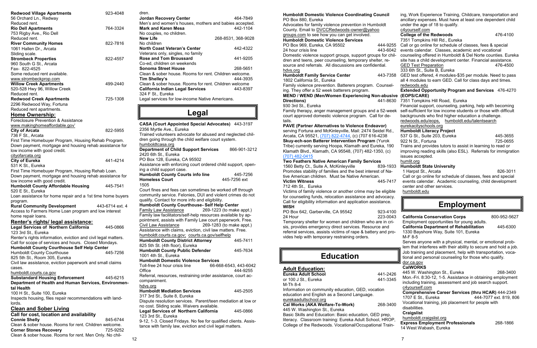| <b>Redwood Village Apartments</b><br>56 Orchard Ln., Redway                                                                                                                           | 923-4048        |
|---------------------------------------------------------------------------------------------------------------------------------------------------------------------------------------|-----------------|
| Reduced rent.<br><b>Rio Dell Apartments</b><br>753 Rigby Ave., Rio Dell                                                                                                               | 764-3324        |
| Reduced rent.<br><b>River Community Homes</b><br>1061 Hallen Dr., Arcata                                                                                                              | 822-7816        |
| Sliding scale.<br><b>Strombeck Properties</b><br>960 South G St., Arcata                                                                                                              | 822-4557        |
| Fax- 822-4525<br>Some reduced rent available.<br>www.strombeckprop.com                                                                                                                |                 |
| <b>Willow Creek Apartments</b><br>520-528 Hwy 96, Willow Creek                                                                                                                        | 499-2440        |
| Reduced rent.<br><b>Redwood Creek Apartments</b><br>2296 Redwood Way, Fortuna                                                                                                         | 725-1308        |
| Reduced rent apartments.<br>Home Ownership:<br>Foreclosure Prevention & Assistance                                                                                                    |                 |
| www.makinghomeaffordable.gov'<br><b>City of Arcata</b>                                                                                                                                | 822-5955        |
| 736 F St., Arcata<br>First Time Homebuyer Program, Housing Rehab Program.<br>Down payment, mortgage and housing rehab assistance for<br>low income with good credit.                  |                 |
| cityofarcata.org<br><b>City of Eureka</b><br>531 K St., Eureka                                                                                                                        | 441-4214        |
| First Time Homebuyer Program, Housing Rehab Loan.<br>Down payment, mortgage and housing rehab assistance for                                                                          |                 |
| low income with good credit.<br><b>Humboldt County Affordable Housing</b><br>520 E St., Eureka                                                                                        | 445-7541        |
| Loan assistance for home repair and a 1st time home buyers<br>program.                                                                                                                |                 |
| <b>Rural Community Development</b><br>Access to Farmers Home Loan program and low interest<br>home repair loans.                                                                      | 443-6714 ext. 4 |
| Renter's rights/ legal assistance:<br><b>Legal Services of Northern California</b><br>123 3rd St., Eureka                                                                             | 445-0866        |
| Renter's rights information, eviction and civil legal matters.<br>Call for scope of services and hours. Closed Mondays.                                                               |                 |
| <b>Humboldt County Courthouse Self Help Center</b><br><b>Humboldt County Courthouse</b><br>825 5th St., Room 305, Eureka<br>Civil law assistance, eviction paperwork and small claims | 445-7256        |
| cases.<br>humboldt.courts.ca.gov                                                                                                                                                      |                 |
| <b>Substandard Housing Enforcement</b><br>Department of Health and Human Services, Environmen-<br>tal Health                                                                          | 445-6215        |
| 100 H St., Suite 100, Eureka<br>Inspects housing, files repair recommendations with land-<br>lords.                                                                                   |                 |
| <b>Clean and Sober Living</b>                                                                                                                                                         |                 |
| Call for cost, location and availability                                                                                                                                              |                 |
| <b>Connie Shelly</b><br>Clean & sober house. Rooms for rent. Children welcome.                                                                                                        | 845-6744        |
| <b>Corner Stones Recovery</b>                                                                                                                                                         | 725-9252        |
| Clean & sober house. Rooms for rent. Men Only. No chil-                                                                                                                               |                 |

dren.

c4yourself.com **College of the Redwoods** 476-4100 7351 Tompkins Hill Rd., Eureka 333 6th St., Suite B, Eureka redwoods.edu **(EOPS/CARE)** eurekacityschools.org **Humboldt Literacy Project** Advocates for family violence prevention in Humboldt County. Email to DVCCRedwoods-owner@yahoo groups.com to see how you can get involved. **Humboldt Domestic Violence Services** PO Box 969, Eureka, CA 95502 444-9255<br>24 hour crisis line 443-6042

| <b>Jordan Recovery Center</b>                                                                                                                 | 464-7849                 |
|-----------------------------------------------------------------------------------------------------------------------------------------------|--------------------------|
| Men's and women's houses, mothers and babies accepted.                                                                                        |                          |
| <b>Mark and Karen Mesa</b>                                                                                                                    | 442-1104                 |
| No couples, no children.                                                                                                                      |                          |
| New Life                                                                                                                                      | 268-8531, 368-9028       |
| No children                                                                                                                                   |                          |
| <b>North Coast Veteran's Center</b>                                                                                                           | 442-4322                 |
| Veterans only, singles, no family<br><b>Rose and Tom Broussard</b>                                                                            |                          |
|                                                                                                                                               | 441-9205                 |
| Co-ed, children on weekends<br><b>Sonoma Street House</b>                                                                                     | 268-5651                 |
| Clean & sober house. Rooms for rent. Children welcome.                                                                                        |                          |
| <b>Tim Shelley's</b>                                                                                                                          | 444-3935                 |
| Clean & sober house. Rooms for rent. Children welcome                                                                                         |                          |
| <b>California Indian Legal Services</b>                                                                                                       | 443-8397                 |
| 324 F St., Eureka                                                                                                                             |                          |
| Legal services for low-income Native Americans.                                                                                               |                          |
|                                                                                                                                               |                          |
| Legal                                                                                                                                         |                          |
| <b>CASA (Court Appointed Special Advocates)</b>                                                                                               | 443-3197                 |
| 2356 Myrtle Ave., Eureka                                                                                                                      |                          |
| Trained volunteers advocate for abused and neglected chil-                                                                                    |                          |
| dren going through the child welfare court system.                                                                                            |                          |
| humboldtcasa.org                                                                                                                              |                          |
| <b>Department of Child Support Services</b>                                                                                                   | 866-901-3212             |
| 2420 6th St., Eureka                                                                                                                          |                          |
| PO Box 128, Eureka, CA 95502                                                                                                                  |                          |
| Assistance with enforcing court ordered child support, open-                                                                                  |                          |
| ing a child support case.                                                                                                                     |                          |
| <b>Humboldt County Courts info line</b>                                                                                                       | 445-7256                 |
| <b>Homeless Court</b>                                                                                                                         | 445-7256 ext             |
| 1505                                                                                                                                          |                          |
| Court fines and fees can sometimes be worked off through                                                                                      |                          |
| community service. Felonies, DUI and violent crimes do not                                                                                    |                          |
| qualify. Contact for more info and eligibility.                                                                                               |                          |
| Humboldt County Courthouse- Self Help Center<br><b>Family Law Assistance</b>                                                                  | 269-1223 (to make appt.) |
|                                                                                                                                               |                          |
| Family law facilitators/self-help resources available by ap-<br>pointment, assists with Family Law court paperwork. Free.                     |                          |
|                                                                                                                                               |                          |
| <b>Civil Law Assistance</b><br>Assistance with claims, eviction, civil law matters. Free.                                                     | 269-1283 (to make appt.) |
|                                                                                                                                               |                          |
| humboldt.courts.ca.gov; courts.ca.gov/selfhelp<br><b>Humboldt County District Attorney</b>                                                    |                          |
| 825 5th St. (4th floor), Eureka                                                                                                               |                          |
|                                                                                                                                               | 445-7411                 |
|                                                                                                                                               |                          |
|                                                                                                                                               | 445-7634                 |
|                                                                                                                                               |                          |
|                                                                                                                                               |                          |
| <b>Humboldt County Public Defender</b><br>1001 4th St., Eureka<br><b>Humboldt Domestic Violence Services</b><br>Toll-free 24 hour crisis line | 66-668-6543, 443-6042    |
| Office                                                                                                                                        | 444-9255                 |
| Referral, resources, restraining order assistance, court ac-<br>companiment.                                                                  |                          |

hdvs.org **Humboldt Mediation Services** 445-2505 317 3rd St., Suite 8, Eureka Dispute resolution services. Parent/teen mediation at low or no cost. Sliding scale. Waivers available. Legal Services of Northern California 445-0866 123 3rd St., Eureka

9-12, 1-3. Closed Fridays. No fee for qualified clients. Assistance with family law, eviction and civil legal matters.

ing, Work Experience Training, Childcare, transportation and ancillary expenses. Must have at least one dependent child under the age of 18 to qualify.

- Call or go online for schedule of classes, fees & special
- 
- 

**Humboldt Domestic Violence Coordinating Council** 

| PU BOX 909, EUICKA, CA 9550Z                                                | 444-9255             | Call or go online for scriedule of classes, lees & special                                                           |                        |
|-----------------------------------------------------------------------------|----------------------|----------------------------------------------------------------------------------------------------------------------|------------------------|
| 24 hour crisis line                                                         | 443-6042             | events calendar. Classes, academic and vocational                                                                    |                        |
| Domestic violence support groups, support groups for chil-                  |                      | counseling offered in Humboldt & Del Norte counties. Eureka                                                          |                        |
| dren and teens, peer counseling, temporary shelter, re-                     |                      | site has a child development center. Financial assistance.                                                           |                        |
| source and referrals. All discussions are confidential.                     |                      | <b>GED Test Preparation</b>                                                                                          | 476-4500               |
| hdvs.org                                                                    |                      | 333 6th St., Suite B, Eureka                                                                                         |                        |
| <b>Humboldt Family Service Center</b>                                       | 443-7358             | GED test offered, 4 modules-\$35 per module. Need to pass                                                            |                        |
| 1802 California St., Eureka                                                 |                      | all 4 modules to earn GED. Call for class days and times.                                                            |                        |
| Family violence prevention. Batterers program. Counsel-                     |                      | redwoods.edu                                                                                                         |                        |
| ing. They offer a 52 week batterers program.                                |                      | <b>Extended Opportunity Program and Services 476-4270</b>                                                            |                        |
| <b>MEND / WEND (Men/Women Experiencing Non-abusive</b>                      |                      | (EOPS/CARE)                                                                                                          |                        |
| Directions)                                                                 | 441-8630             | 7351 Tompkins Hill Road, Eureka                                                                                      |                        |
| 930 3rd St., Eureka                                                         |                      | Financial support, counseling, parking, help with becoming                                                           |                        |
| Family therapy, anger management groups and a 52-week                       |                      | self-sufficient for low income students or those with difficult                                                      |                        |
| court approved domestic violence program. Call for de-                      |                      | backgrounds who find higher education a challenge.                                                                   |                        |
| tails.                                                                      |                      | redwoods.edu/eops, humboldt.edu/talentsearch                                                                         |                        |
| <b>PAVE (Partner Alternatives to Violence Endeavor)</b>                     |                      | eurekacityschools.org                                                                                                |                        |
| serving Fortuna and McKinleyville, Mail: 2474 Seidel Rd.,                   |                      | <b>Humboldt Literacy Project</b>                                                                                     |                        |
| Arcata, CA 95521, (707) 822-4744, (c) (707 616-4238                         |                      | 537 G St., Suite 203, Eureka                                                                                         | 445-3655               |
| Skuy-ech-son Batterer Intervention Program (Yurok                           |                      | 922 N St., Fortuna                                                                                                   | 725-0655               |
| Tribe) currently serving Hoopa, Klamath and Eureka, 190                     |                      | Trains and provides tutors to assist in learning to read or                                                          |                        |
| Klamath Blvd., Klamath, CA 95548, (707) 482-1350, (c)                       |                      | improving reading skills (also ESL). Referrals for immigration                                                       |                        |
| (707) 482-0415                                                              |                      | issues accepted.                                                                                                     |                        |
| Two Feathers Native American Family Services                                |                      | humlit.org                                                                                                           |                        |
| 1560 Betty Ct., Suite A, McKinleyville                                      | 839-1933             | <b>Humboldt State University</b>                                                                                     |                        |
| Promotes stability of families and the best interest of Na-                 |                      | 1 Harpst St., Arcata                                                                                                 | 826-3011               |
| tive American children. Must be Native American.                            |                      | Call or go online for schedule of classes, fees and special                                                          |                        |
| <b>Victim Witness</b>                                                       | 445-7417             | events calendar. Academic counseling, child development                                                              |                        |
| 712 4th St., Eureka                                                         |                      | center and other services.                                                                                           |                        |
| Victims of family violence or another crime may be eligible                 |                      | humboldt.edu                                                                                                         |                        |
|                                                                             |                      |                                                                                                                      |                        |
|                                                                             |                      |                                                                                                                      |                        |
| for counseling funds, relocation assistance and advocacy.                   |                      |                                                                                                                      |                        |
| Call for eligibility information and application assistance.<br><b>WISH</b> |                      | <b>Employment</b>                                                                                                    |                        |
|                                                                             |                      |                                                                                                                      |                        |
| PO Box 642, Garberville, CA 95542<br>24 Hour                                | 923-4100<br>223-0043 |                                                                                                                      |                        |
|                                                                             |                      | <b>California Conservation Corps</b>                                                                                 | 800-952-5627           |
| Temporary shelter for women and children who are in cri-                    |                      | Employment opportunities for young adults.                                                                           |                        |
| sis, provides emergency direct services. Resource and                       |                      | <b>California Department of Rehabilitation</b>                                                                       | 445-6300               |
| referral services, assists victims of rape & battery and pro-               |                      | 1330 Bayshore Way, Suite 101, Eureka                                                                                 |                        |
| vides help with temporary restraining orders.                               |                      | M-F 8-5                                                                                                              |                        |
|                                                                             |                      | Serves anyone with a physical, mental, or emotional prob-                                                            |                        |
|                                                                             |                      | lem that interferes with their ability to secure and hold a job.                                                     |                        |
| <b>Education</b>                                                            |                      | Job training and placement, help with transportation, voca-<br>tional and personal counseling for those who qualify. |                        |
|                                                                             |                      | dor.ca.gov                                                                                                           |                        |
|                                                                             |                      | <b>CalWORKS</b>                                                                                                      |                        |
| <b>Adult Education:</b>                                                     |                      |                                                                                                                      | 268-3400               |
| <b>Eureka Adult School</b>                                                  | 441-2426             | 445 W. Washington St., Eureka<br>Mon.-Fri. 8:30-12, 1-5. Assistance in obtaining employment                          |                        |
| or 100 J St., Eureka                                                        | 441-3345             | including training, assessment and job search support.                                                               |                        |
| M-Th 8-4                                                                    |                      | c4yourself.com                                                                                                       |                        |
| Information on community education, GED, vocation                           |                      |                                                                                                                      |                        |
| education and English as a Second Language.                                 |                      | Comprehensive Career Services (thru HCAR) 444-2349                                                                   |                        |
| eurekaadultschool.org                                                       |                      | 1707 E St., Eureka<br>Vocational training, job placement for people with                                             | 444-7077 ext. 819, 806 |
| Cal Works (AKA Welfare-To-Work)                                             | 268-3400             | disabilities.                                                                                                        |                        |
| 445 W. Washington St., Eureka                                               |                      | <b>Craigslist</b>                                                                                                    |                        |
| Basic Skills and Education: Basic education, GED prep,                      |                      |                                                                                                                      |                        |
| literacy. Classroom training: Eureka Adult School, HROP,                    |                      | humboldt.craigslist.org                                                                                              | 268-1866               |
| College of the Redwoods. Vocational/Occupational Train-                     |                      | <b>Express Employment Professionals</b><br>14 West Wabash, Eureka                                                    |                        |
|                                                                             |                      |                                                                                                                      |                        |
|                                                                             |                      | 7                                                                                                                    |                        |

PO Box 880, Eureka

#### **Two Feathers Native American Family Services**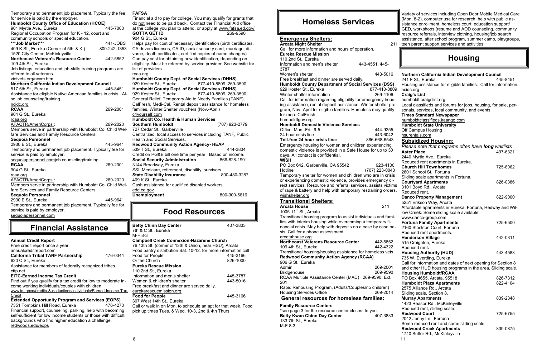

Temporary and permanent job placement. Typically the fee for service is paid by the employer. **Humboldt County Office of Education (HCOE)** 901 Myrtle Ave., Eureka 445-7000 Regional Occupation Program for K - 12, court and community schools or special education. **\*\*\*Job Market\*\*\*** 441-JOBS 409 K St., Eureka (Corner of 5th & K ) 800-242-1353 1520 City Center, McKinleyville **Northcoast Veteran's Resource Center** 442-5852 109 4th St., Eureka Job listings, education and job-skills training programs are offered to all veterans. vietvets.org/ncvrc.htm **Northern California Indian Development Council** 517 5th St., Eureka 445-8451 Assistance for eligible Native American families in crisis. Also job counseling/training. ncidc.org **RCAA** 269-2001 904 G St., Eureka rcaa.org AFACTR/AmeriCorps : 269-2020 Members serve in partnership with Humboldt Co. Child Welfare Services and Family Resource Centers. **Sequoia Personnel**  2930 E St., Eureka 445-9641 Temporary and permanent job placement. Typically fee for service is paid by employer. sequoiapersonnel.comjob counseling/training. **RCAA** 269-2001 904 G St., Eureka rcaa.org AFACTR/AmeriCorps : 269-2020 Members serve in partnership with Humboldt Co. Child Welfare Services and Family Resource Centers. **Sequoia Personnel**  2930 E St., Eureka **445-9641** Temporary and permanent job placement. Typically fee for service is paid by employer. sequoiapersonnel.com

**Humboldt County Dept. of Social Services (DHHS)** 929 Koster St., Eureka 877-410-8809, 269-3590 **Humboldt County Dept. of Social Services (DHHS)** 929 Koster St., Eureka 877-410-8809, 269-3590 General Relief, Temporary Aid to Needy Families (TANF), CalFresh, Medi-Cal. Rental deposit assistance for homeless families, Winter Shelter vouchers (Nov.-April) c4yourself.com **Humboldt Co. Health & Human Services Southern Humboldt** (707) 923-2779 727 Cedar St., Garberville Centralized, local access to services including TANF, Public Health and Social Services. **Redwood Community Action Agency- HEAP** 539 T St., Eureka 444-3834 Credit on PG&E bill one time per year. Based on income. **Social Security Administration** 866-828-1991 3144 Broadway, Eureka SSI, Medicare, retirement, disability, survivors. **State Disability Insurance** 800-480-3287 409 K St., Eureka Cash assistance for qualified disabled workers edd.ca.gov **Unemployment** 800-300-5616 .

|                                                                  |          | ΙV             |
|------------------------------------------------------------------|----------|----------------|
| <b>Annual Credit Report</b>                                      |          | C              |
| Free credit report once a year                                   |          | $\overline{7}$ |
| annualcreditreport.com                                           |          | F              |
| <b>California Tribal TANF Partnership</b>                        | 476-0344 | F              |
| 620 C St., Eureka                                                |          | O              |
| Assistance for members of federally recognized tribes.           |          | Е              |
| cttp.net                                                         |          | $\mathbf{1}$   |
| <b>EITC-Earned Income Tax Credit</b>                             |          | Ir             |
| Find out if you qualify for a tax credit for low to moderate in- |          | N              |
| come working individuals/couples with children                   |          | F              |
| www.irs.gove/credits-&-deductions/individuals/Earned-Income-Tax- |          | $rac{e}{F}$    |
| Credit                                                           |          |                |
| <b>Extended Opportunity Program and Services (EOPS)</b>          |          | 3              |
| 7351 Tompkins Hill Road, Eureka                                  | 476-4270 | C              |
| Financial support, counseling, parking, help with becoming       |          | pi             |
| self-sufficient for low income students or those with difficult  |          |                |
| backgrounds who find higher education a challenge.               |          |                |
| redwoods.edu/eops                                                |          |                |
|                                                                  |          |                |

### **Financial Assistance**

#### **FAFSA**

Financial aid to pay for college. You may qualify for grants that do not need to be paid back. Contact the Financial Aid office at the college you plan to attend, or apply at www.fafsa.ed.gov/ **GOTTA GET ID** 269-9590 904 G St., Eureka

Helps pay for cost of necessary identification (birth certificates, CA drivers licenses, CA ID, social security card, marriage, divorce, death certificates, certified copies of name changes). Can pay cost for obtaining new identification, depending on eligibility. Must be referred by service provider. See website for list of providers.

#### rcaa.org

### **Food Resources**

**Betty Chinn Day Center** 407-3833 7th & C St., Eureka M-F 8-3 **Campbell Creek Connexion-Nazarene Church** 76 13th St. (corner of 13th & Union, near HSU), Arcata Food pantry distribution Sat. 10-12. for more information call Food for People 445-3166 Ir the Church **Eureka Rescue Mission** 110 2nd St., Eureka nformation and men's shelter 445-3787 Vomen & children's shelter  $443-5016$ Free breakfast and dinner are served daily. urekarescuemission.org **Food for People** 445-3166 307 West 14th St., Eureka Call or walk in on Mon. to schedule an apt for that week. Food ick up times Tues. & Wed. 10-3, 2nd & 4th Thurs.

### **Homeless Services**

|                                                                                       | ≕ resource referrals, interview clothing, housing/job search        |
|---------------------------------------------------------------------------------------|---------------------------------------------------------------------|
| <b>Emergency Shelters:</b>                                                            | assistance, after school program, summer camp, playgroups           |
| <b>Arcata Night Shelter</b>                                                           | 211 teen parent support services and activities.                    |
| Call for more information and hours of operation.                                     |                                                                     |
| <b>Eureka Rescue Mission</b>                                                          | <b>Housing</b>                                                      |
| 110 2nd St., Eureka<br>Information and men's shelter<br>443-4551, 445-                |                                                                     |
| 3787                                                                                  |                                                                     |
| Women's shelter<br>443-5016                                                           | Northern California Indian Development Council                      |
| Free breakfast and dinner are served daily.                                           | 241 F St., Eureka<br>445-8451                                       |
| <b>Humboldt County Department of Social Services (DSS)</b>                            | Housing assistance for eligible families. Call for information.     |
| 929 Koster St., Eureka<br>877-410-8809                                                | ncidc.org                                                           |
| Winter shelter information<br>269-4106                                                | <b>Craig's List</b>                                                 |
| Call for information regarding eligibility for emergency hous-                        | humboldt.craigslist.org                                             |
| ing assistance, rental deposit assistance. Winter shelter pro-                        | Local classifieds and forums for jobs, housing, for sale, per-      |
| gram, Nov.-April for eligible families. Homeless may qualify                          | sonals, services, local community, and events.                      |
| for more CalFresh.                                                                    | <b>Times Standard Newspaper</b>                                     |
| humboldtgov.org                                                                       | humboldtclassifieds.kaango.com                                      |
| <b>Humboldt Domestic Violence Services</b><br>444-9255                                | <b>Humboldt State University</b>                                    |
| Office, Mon.-Fri. 9-5<br>443-6042<br>24 hour crisis line                              | Off Campus Housing<br>hsurentals.com                                |
| Toll-free 24 hour crisis line:<br>866-668-6543                                        |                                                                     |
| Emergency housing for women and children experiencing                                 | <b>Subsidized Housing:</b>                                          |
| domestic violence is provided in a Safe House for up to 30                            | Please note that programs often have long waitlists                 |
| days. All contact is confidential.                                                    | <b>Aster Place</b><br>497-6321<br>2440 Myrtle Ave., Eureka          |
| WISH                                                                                  | Reduced rent apartments in Eureka.                                  |
| PO Box 642, Garberville, CA 95542<br>923-4100                                         | <b>Church Hill Townhomes</b><br>725-8062                            |
| Hotline<br>(707) 223-0043                                                             | 2601 School St., Fortuna                                            |
| Temporary shelter for women and children who are in crisis                            | Sliding scale apartments in Fortuna.                                |
| or experiencing domestic violence, provides emergency di-                             | <b>Courtyard Apartments</b><br>826-0386                             |
| rect services. Resource and referral services, assists victims                        | 3101 Boyd Rd., Arcata                                               |
| of rape & battery and help with temporary restraining orders.                         | Reduced rent.                                                       |
| wishshelter.org                                                                       | <b>Danco Property Management</b><br>822-9000                        |
| <u><b>Transitional Shelters:</b></u>                                                  | 5251 Erikson Way, Arcata                                            |
| 211<br>Arcata House<br>1005 11 <sup>th</sup> St., Arcata                              | Affordable apartments in Eureka, Fortuna, Redway and Wil-           |
| Transitional housing program to assist individuals and fami-                          | low Creek. Some sliding scale available.                            |
| lies with interim housing while overcoming a temporary fi-                            | www.danco-group.com<br><b>Fortuna Family Apartments</b><br>725-6500 |
| nancial crisis. May help with deposits on a case by case ba-                          | 2160 Stockton Court, Fortuna                                        |
| sis. Call for a phone assessment.                                                     | Reduced rent apartments.                                            |
| arcatahouse.org                                                                       | 442-0311<br><b>Henderson Village</b>                                |
| <b>Northcoast Veterans Resource Center</b><br>442-5852                                | 515 Creighton, Eureka                                               |
| 109 4th St., Eureka<br>442-4322                                                       | Reduced rent.                                                       |
| Transitional housing/housing assistance for homeless vets.                            | <b>Housing Authority (HUD)</b><br>443-4583                          |
| <b>Redwood Community Action Agency (RCAA)</b>                                         | 735 W. Everding, Eureka                                             |
| 906 G St., Eureka                                                                     | Call for information and dates of next opening for Section 8        |
| 269-2001<br>Admin<br>269-9590                                                         | and other HUD housing programs in the area. Sliding scale.          |
| <b>Bridgehouse</b><br>RCAA Multiple Assistance Center (MAC) 269-9590, Ext.            | <b>Housing Humboldt/RCAA</b>                                        |
| 201                                                                                   | PO Box 4655, Arcata, 95518<br>826-7312<br>822-4104                  |
| Rapid Rehousing Program, (Adults/Couples/no children)                                 | <b>Humboldt Plaza Apartments</b><br>2575 Alliance Rd., Arcata       |
| <b>Housing Services Office</b><br>269-2014                                            | Sliding scale, Section 8.                                           |
| <b>General resources for homeless families:</b>                                       | <b>Murray Apartments</b><br>839-2348                                |
|                                                                                       | 1423 Reasor Rd., McKinleyville                                      |
| <b>Family Resource Centers</b><br>*see page 3 for the resource center closest to you. | Reduced rent, sliding scale.                                        |
| <b>Betty Kwan Chinn Day Center</b><br>407-3833                                        | <b>Redwood Court</b><br>725-6755                                    |
| 133 7th St., Eureka                                                                   | 2042 Jenny Ln., Fortuna                                             |
| M-F 8-3                                                                               | Some reduced rent and some sliding scale.                           |
|                                                                                       | <b>Redwood Creek Apartments</b><br>839-0875                         |
|                                                                                       | 1740 Sutter Rd., McKinleyville                                      |

Variety of services including Open Door Mobile Medical Care (Mon. 8-2), computer use for research, help with public assistance enrollment, homeless court, education support/ GED, workshops (resume and AOD counseling, community resource referrals, interview clothing, housing/job search assistance, after school program, summer camp, playgroups,